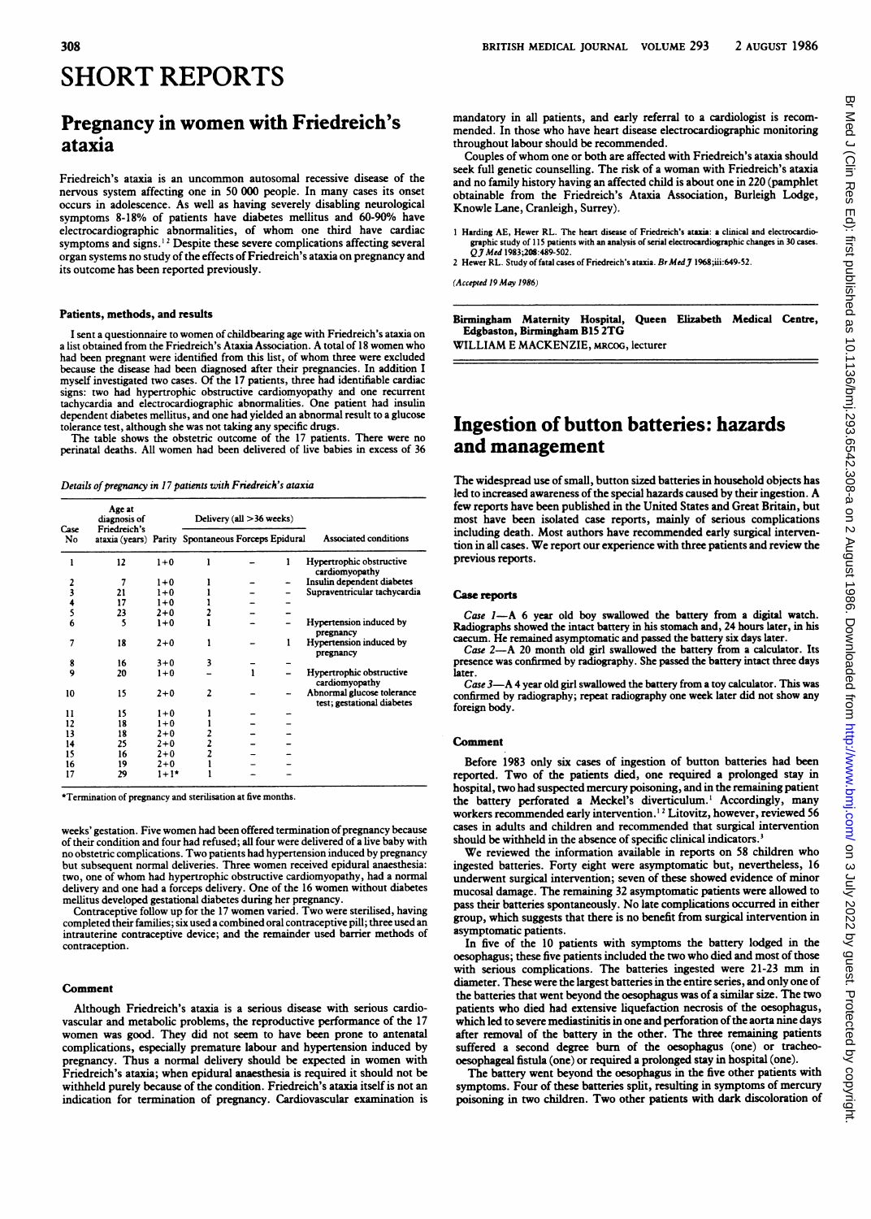# SHORT REPORTS

## Pregnancy in women with Friedreich's ataxia

Friedreich's ataxia is an uncommon autosomal recessive disease of the nervous system affecting one in 50 000 people. In many cases its onset occurs in adolscence. As well as having severely disabling neurological symptoms 8-18% of patients have diabetes mellitus and 60-90% have electrocardiographic abnormalities, of whom one third have cardiac symptoms and signs.<sup>12</sup> Despite these severe complications affecting several organ systems no study of the effects of Friedreich's ataxia on pregnancy and its outcome has been reported previously.

### Patients, methods, and results

I sent a questionnaire to women of childbearing age with Friedreich's ataxia on <sup>a</sup> list obtained from the Friedreich's Atxia Association. A total of <sup>18</sup> women who had been pregnant were identified from this list, of whom three were excluded because the disease had been diagnosed after their pregnancies. In addition I myself investigated two cases. Of the 17 patients, three had identifiable cardiac signs: two had hypertrophic obstructive cardiomyopathy and one recurrent tachycardia and electrocardiographic abnormalities. One patient had insulin dependent diabetes mellitus, and one had yielded an abnormal result to a glucose tolerance test, although she was not taking any specific drugs.

The table shows the obstetric outcome of the 17 patients. There were no perinatal deaths. All women had been delivered of live babies in excess of 36

Details of pregnancy in 17 patients with Friedreich's ataxia

|            | Age at<br>diagnosis of<br>Friedreich's<br>ataxia (years) Parity Spontaneous Forceps Epidural |         | Delivery (all > 36 weeks) |  |   |                                                          |
|------------|----------------------------------------------------------------------------------------------|---------|---------------------------|--|---|----------------------------------------------------------|
| Case<br>No |                                                                                              |         |                           |  |   | <b>Associated conditions</b>                             |
|            | 12                                                                                           | $1+0$   |                           |  | 1 | Hypertrophic obstructive<br>cardiomyopathy               |
| 2          | 7                                                                                            | $1+0$   |                           |  |   | Insulin dependent diabetes                               |
| 3          | 21                                                                                           | $1 + 0$ |                           |  |   | Supraventricular tachycardia                             |
|            | 17                                                                                           | $1 + 0$ |                           |  |   |                                                          |
| 4<br>5     | 23                                                                                           | $2 + 0$ |                           |  |   |                                                          |
| 6          | 5                                                                                            | $1+0$   |                           |  |   | Hypertension induced by<br>pregnancy                     |
| 7          | 18                                                                                           | $2 + 0$ |                           |  | 1 | Hypertension induced by<br>pregnancy                     |
| 8          | 16                                                                                           | $3 + 0$ | 3                         |  |   |                                                          |
| 9          | 20                                                                                           | $1 + 0$ |                           |  |   | Hypertrophic obstructive<br>cardiomyopathy               |
| 10         | 15                                                                                           | $2 + 0$ | $\overline{2}$            |  |   | Abnormal glucose tolerance<br>test; gestational diabetes |
| 11         | 15                                                                                           | $1 + 0$ |                           |  |   |                                                          |
| 12         | 18                                                                                           | $1 + 0$ |                           |  |   |                                                          |
| 13         | 18                                                                                           | $2 + 0$ | 2                         |  |   |                                                          |
| 14         | 25                                                                                           | $2 + 0$ | $\overline{c}$            |  |   |                                                          |
| 15         | 16                                                                                           | $2 + 0$ |                           |  |   |                                                          |
| 16         | 19                                                                                           | $2 + 0$ |                           |  |   |                                                          |
| 17         | 29                                                                                           | $1+1$ * |                           |  |   |                                                          |

\*Termination of pregnancy and sterilisation at five months.

weeks' gestation. Five women had been offered termination of pregnancy because of their condition and four had refused; all four were delivered of a live baby with no obstetric complications. Two patients had hypertension induced by pregnancy but subsequent normal deliveries. Three women received epidural anaesthesia: two, one of whom had hypertrophic obstuctive cardiomyopathy, had a normal delivery and one had a forceps delivery. One of the 16 women without diabetes mellitus developed gestational diabetes during her pregnancy.

Contraceptive follow up for the <sup>17</sup> women varied. Two were sterilised, having completed their families; six used a combined oral contraceptive pill; three used an intrauterine contraceptive device; and the remainder used barrier methods of contraception.

### Comment

Although Friedreich's ataxia is <sup>a</sup> serious disease with serious cardiovascular and metabolic problems, the reproductive performance of the 17 women was good. They did not seem to have been prone to antenatal complications, especially premature labour and hypertension induced by pregnancy. Thus a normal delivery should be expected in women with Friedreich's ataxia; when epidural anaesthesia is required it should not be withheld purely because of the condition. Friedreich's ataxia itself is not an indication for termination of pregnancy. Cardiovascular examination is mandatory in all patients, and carly referral to a cardiologist is recommended. In those who have heart disease electrocardiographic monitoring throughout labour should be recommended.

Couples of whom one or both are affected with Friedreich's atxia should seek full genetic counselling. The risk of a woman with Friedreich's ataxia and no family history having an affected child is about one in 220 (pamphlet obtainable from the Friedreich's Ataxia Association, Burleigh Lodge, Knowle Lane, Cranleigh, Surrey).

1 Harding AE, Hewer RL. The heart disease of Friedreich's ataxia: a clinical and electrocardiographic study of 115 patients with an analysis of serial electrocardiographic changes in 30 cases.<br>Q J Med 1983;208:489-502.

2 Hewer RL. Study of fatal cases of Friedreich's ataxia. Br Med 7 1968;iii:649-52.

(Accepted 19 May 1986)

Birmingham Maternity Hospital, Queen Elizabeth Medical Centre, Edgbaston, Birmingham B15 2TG WILLIAM E MACKENZIE, MRCOG, lecturer

## hgestion of button batteries: hazards and management

The widespread use of small, button sized batteries in household objects has led to increased awareness of the special hazards caused by their ingestion. A few reports have been published in the United States and Great Britain, but most have been isolated case reports, mainly of serious compliations including death. Most authors have recommended early surgical intervention in all cases. We report our experience with three patients and review the previous reports.

#### Case reports

Case  $I$ —A 6 year old boy swallowed the battery from a digital watch. Radiographs showed the intact battery in his stomach and, 24 hours later, in his caecum. He remained asymptomatic and passed the battery six days later.

Case 2-A 20 month old girl swallowed the battery from a calculator. Its presence was confirmed by radiography. She passed the battery intact three days

later.<br>Case 3--A 4 year old girl swallowed the battery from a toy calculator. This was confirmed by radiography; repeat radiography one week later did not show any foreign body.

## Comment

Before 1983 only six cases of ingestion of button batteries had been reported. Two of the patients died, one required a prolonged stay in hospital, two had suspected mercury poisoning, and in the remaining patient the battery perforated a Meckel's diverticulum.<sup>1</sup> Accordingly, many workers recommended early intervention.<sup>12</sup> Litovitz, however, reviewed 56 cases in adults and children and recommended that surgical intervention should be withheld in the absence of specific clinical indicators.<sup>3</sup>

We reviewed the information available in reports on 58 children who ingested batteries. Forty eight were asymptomatic but, nevertheless, 16 underwent surgical intervention; seven of these showed evidence of minor mucosal damage. The remaining 32 asymptomatic patients were allowed to pass their batteries spontaneously. No late complications occurred in either group, which suggests that there is no benefit from surgical intervention in asymptomatic patients.

In five of the 10 patients with symptoms the battery lodged in the oesophagus; these five patients included the two who died and most of those with serious complications. The bateries ingested were 21-23 mm in diameter. These were the largest batteries in the entire series, and only one of the batteries that went beyond the oesophagus was of a similar size. The two patients who died had extensive liquefaction necrosis of the oesophagus, which led to severe mediastinitis in one and perforation of the aorta nine days after removal of the battery in the other. The three remaining patients suffered a second degree burn of the oesophagus (one) or tracheooesophageal fistula (one) or required a prolonged stay in hospital (one).

The battery went beyond the oesophagus in the five other patients with symptoms. Four of these batteries split, resulting in symptoms of mercury poisoning in two children. Two other patients with dark discoloration of